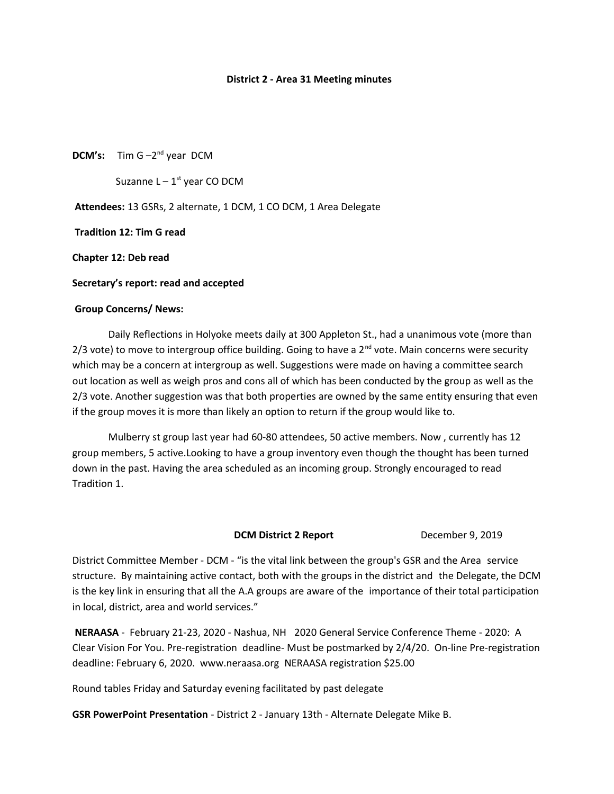### **District 2 - Area 31 Meeting minutes**

**DCM's:** Tim G-2<sup>nd</sup> year DCM

Suzanne  $L - 1<sup>st</sup>$  year CO DCM

**Attendees:** 13 GSRs, 2 alternate, 1 DCM, 1 CO DCM, 1 Area Delegate

 **Tradition 12: Tim G read**

**Chapter 12: Deb read** 

### **Secretary's report: read and accepted**

### **Group Concerns/ News:**

Daily Reflections in Holyoke meets daily at 300 Appleton St., had a unanimous vote (more than  $2/3$  vote) to move to intergroup office building. Going to have a  $2<sup>nd</sup>$  vote. Main concerns were security which may be a concern at intergroup as well. Suggestions were made on having a committee search out location as well as weigh pros and cons all of which has been conducted by the group as well as the 2/3 vote. Another suggestion was that both properties are owned by the same entity ensuring that even if the group moves it is more than likely an option to return if the group would like to.

Mulberry st group last year had 60-80 attendees, 50 active members. Now , currently has 12 group members, 5 active.Looking to have a group inventory even though the thought has been turned down in the past. Having the area scheduled as an incoming group. Strongly encouraged to read Tradition 1.

## **DCM District 2 Report** December 9, 2019

District Committee Member - DCM - "is the vital link between the group's GSR and the Area service structure. By maintaining active contact, both with the groups in the district and the Delegate, the DCM is the key link in ensuring that all the A.A groups are aware of the importance of their total participation in local, district, area and world services."

**NERAASA** - February 21-23, 2020 - Nashua, NH 2020 General Service Conference Theme - 2020: A Clear Vision For You. Pre-registration deadline- Must be postmarked by 2/4/20. On-line Pre-registration deadline: February 6, 2020. www.neraasa.org NERAASA registration \$25.00

Round tables Friday and Saturday evening facilitated by past delegate

**GSR PowerPoint Presentation** - District 2 - January 13th - Alternate Delegate Mike B.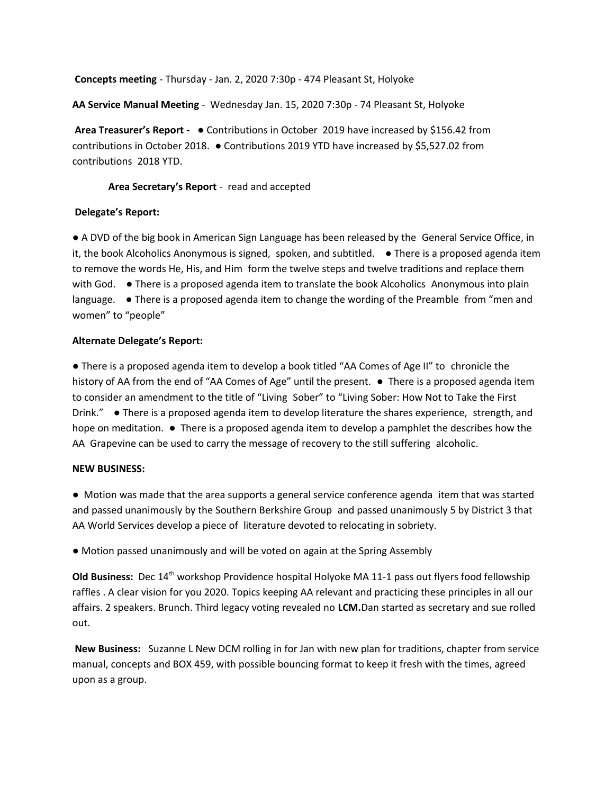**Concepts meeting** - Thursday - Jan. 2, 2020 7:30p - 474 Pleasant St, Holyoke

**AA Service Manual Meeting** - Wednesday Jan. 15, 2020 7:30p - 74 Pleasant St, Holyoke

**Area Treasurer's Report -** ● Contributions in October 2019 have increased by \$156.42 from contributions in October 2018. ● Contributions 2019 YTD have increased by \$5,527.02 from contributions 2018 YTD.

# **Area Secretary's Report** - read and accepted

# **Delegate's Report:**

● A DVD of the big book in American Sign Language has been released by the General Service Office, in it, the book Alcoholics Anonymous is signed, spoken, and subtitled. ● There is a proposed agenda item to remove the words He, His, and Him form the twelve steps and twelve traditions and replace them with God. ● There is a proposed agenda item to translate the book Alcoholics Anonymous into plain language. ● There is a proposed agenda item to change the wording of the Preamble from "men and women" to "people"

# **Alternate Delegate's Report:**

● There is a proposed agenda item to develop a book titled "AA Comes of Age II" to chronicle the history of AA from the end of "AA Comes of Age" until the present. ● There is a proposed agenda item to consider an amendment to the title of "Living Sober" to "Living Sober: How Not to Take the First Drink." ● There is a proposed agenda item to develop literature the shares experience, strength, and hope on meditation. ● There is a proposed agenda item to develop a pamphlet the describes how the AA Grapevine can be used to carry the message of recovery to the still suffering alcoholic.

### **NEW BUSINESS:**

● Motion was made that the area supports a general service conference agenda item that was started and passed unanimously by the Southern Berkshire Group and passed unanimously 5 by District 3 that AA World Services develop a piece of literature devoted to relocating in sobriety.

● Motion passed unanimously and will be voted on again at the Spring Assembly

**Old Business:** Dec 14<sup>th</sup> workshop Providence hospital Holyoke MA 11-1 pass out flyers food fellowship raffles . A clear vision for you 2020. Topics keeping AA relevant and practicing these principles in all our affairs. 2 speakers. Brunch. Third legacy voting revealed no **LCM.**Dan started as secretary and sue rolled out.

**New Business:** Suzanne L New DCM rolling in for Jan with new plan for traditions, chapter from service manual, concepts and BOX 459, with possible bouncing format to keep it fresh with the times, agreed upon as a group.